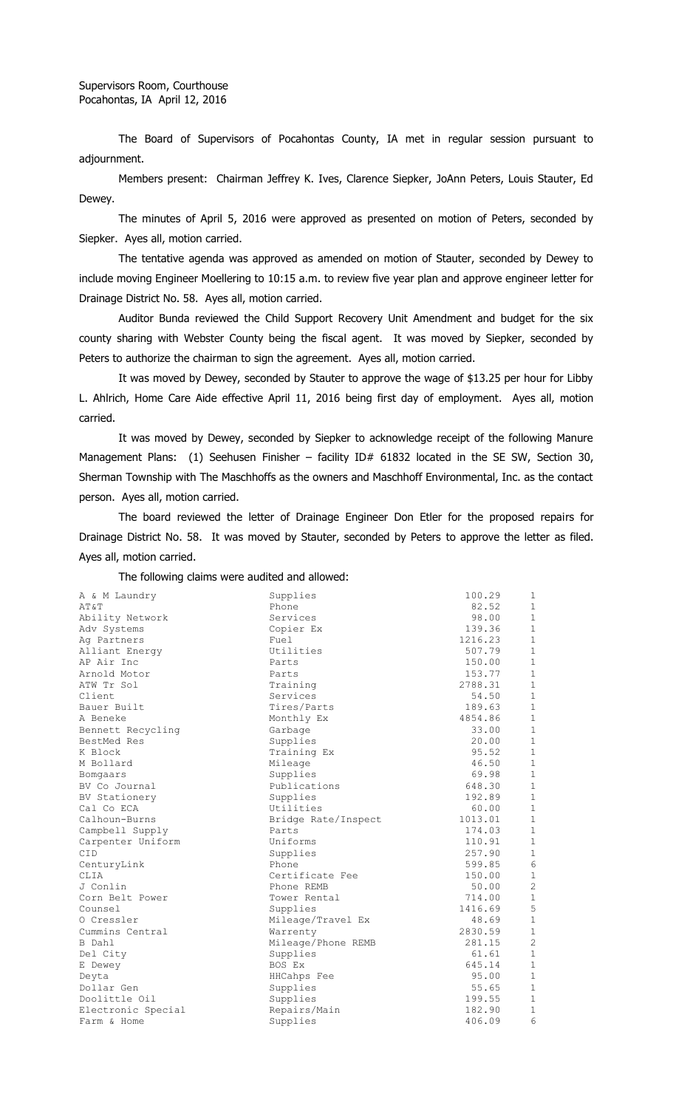The Board of Supervisors of Pocahontas County, IA met in regular session pursuant to adjournment.

Members present: Chairman Jeffrey K. Ives, Clarence Siepker, JoAnn Peters, Louis Stauter, Ed Dewey.

The minutes of April 5, 2016 were approved as presented on motion of Peters, seconded by Siepker. Ayes all, motion carried.

The tentative agenda was approved as amended on motion of Stauter, seconded by Dewey to include moving Engineer Moellering to 10:15 a.m. to review five year plan and approve engineer letter for Drainage District No. 58. Ayes all, motion carried.

Auditor Bunda reviewed the Child Support Recovery Unit Amendment and budget for the six county sharing with Webster County being the fiscal agent. It was moved by Siepker, seconded by Peters to authorize the chairman to sign the agreement. Ayes all, motion carried.

It was moved by Dewey, seconded by Stauter to approve the wage of \$13.25 per hour for Libby L. Ahlrich, Home Care Aide effective April 11, 2016 being first day of employment. Ayes all, motion carried.

It was moved by Dewey, seconded by Siepker to acknowledge receipt of the following Manure Management Plans: (1) Seehusen Finisher - facility ID# 61832 located in the SE SW, Section 30, Sherman Township with The Maschhoffs as the owners and Maschhoff Environmental, Inc. as the contact person. Ayes all, motion carried.

The board reviewed the letter of Drainage Engineer Don Etler for the proposed repairs for Drainage District No. 58. It was moved by Stauter, seconded by Peters to approve the letter as filed. Ayes all, motion carried.

The following claims were audited and allowed:

| A & M Laundry      | Supplies            | 100.29  | $\mathbf{1}$   |
|--------------------|---------------------|---------|----------------|
| AT&T               | Phone               | 82.52   | $\mathbf{1}$   |
| Ability Network    | Services            | 98.00   | $\mathbf{1}$   |
| Adv Systems        | Copier Ex           | 139.36  | $\mathbf{1}$   |
| Aq Partners        | Fuel                | 1216.23 | $\mathbf{1}$   |
| Alliant Energy     | Utilities           | 507.79  | $\mathbf{1}$   |
| AP Air Inc         | Parts               | 150.00  | $\mathbf{1}$   |
| Arnold Motor       | Parts               | 153.77  | $\mathbf{1}$   |
| ATW Tr Sol         | Training            | 2788.31 | $1\,$          |
| Client             | Services            | 54.50   | $\mathbf{1}$   |
| Bauer Built        | Tires/Parts         | 189.63  | $\mathbf{1}$   |
| A Beneke           | Monthly Ex          | 4854.86 | $\mathbf{1}$   |
| Bennett Recycling  | Garbage             | 33.00   | $\mathbf{1}$   |
| BestMed Res        | Supplies            | 20.00   | $\mathbf{1}$   |
| K Block            | Training Ex         | 95.52   | $\mathbf{1}$   |
| M Bollard          | Mileage             | 46.50   | $\mathbf{1}$   |
| Bomgaars           | Supplies            | 69.98   | $\mathbf{1}$   |
| BV Co Journal      | Publications        | 648.30  | $\mathbf{1}$   |
| BV Stationery      | Supplies            | 192.89  | $\mathbf{1}$   |
| Cal Co ECA         | Utilities           | 60.00   | $\mathbf{1}$   |
| Calhoun-Burns      | Bridge Rate/Inspect | 1013.01 | $\mathbf{1}$   |
| Campbell Supply    | Parts               | 174.03  | $1\,$          |
| Carpenter Uniform  | Uniforms            | 110.91  | $\mathbf{1}$   |
| <b>CID</b>         | Supplies            | 257.90  | $\mathbf{1}$   |
| CenturyLink        | Phone               | 599.85  | 6              |
| CLIA               | Certificate Fee     | 150.00  | $\mathbf{1}$   |
| J Conlin           | Phone REMB          | 50.00   | $\overline{c}$ |
| Corn Belt Power    | Tower Rental        | 714.00  | $\mathbf{1}$   |
| Counsel            | Supplies            | 1416.69 | 5              |
| O Cressler         | Mileage/Travel Ex   | 48.69   | $\mathbf{1}$   |
| Cummins Central    | Warrenty            | 2830.59 | $\mathbf{1}$   |
| B Dahl             | Mileage/Phone REMB  | 281.15  | $\overline{c}$ |
| Del City           | Supplies            | 61.61   | $\mathbf{1}$   |
| E Dewey            | BOS Ex              | 645.14  | $\mathbf{1}$   |
| Deyta              | HHCahps Fee         | 95.00   | $\mathbf{1}$   |
| Dollar Gen         | Supplies            | 55.65   | $\mathbf{1}$   |
| Doolittle Oil      | Supplies            | 199.55  | 1              |
| Electronic Special | Repairs/Main        | 182.90  | 1              |
| Farm & Home        | Supplies            | 406.09  | 6              |
|                    |                     |         |                |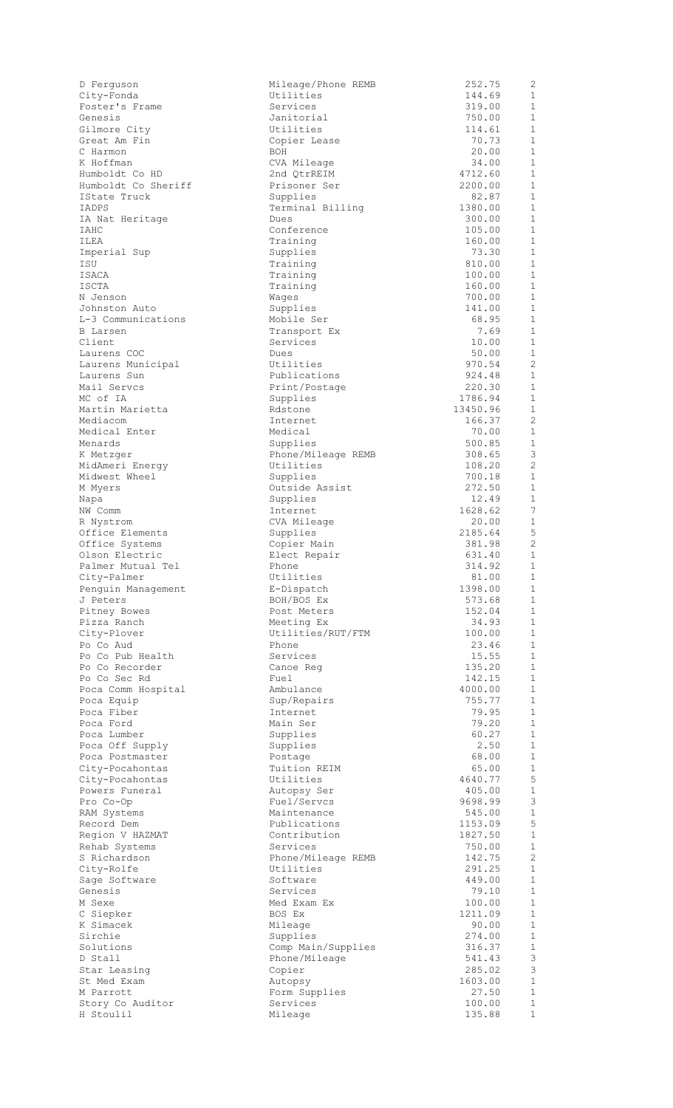| City-Fonda                                      |
|-------------------------------------------------|
| Foster's Frame                                  |
| Genesis                                         |
| Gilmore City                                    |
| Great Am Fin                                    |
| C Harmon                                        |
| K Hoffman                                       |
| Humboldt Co HD                                  |
| Humboldt Co Sheriff                             |
| IState Truck                                    |
| <b>IADPS</b>                                    |
| IA Nat Heritage                                 |
| IAHC                                            |
| ILEA                                            |
| Imperial Sup                                    |
| ISU                                             |
| <b>ISACA</b>                                    |
| <b>ISCTA</b>                                    |
|                                                 |
| N Jenson                                        |
| Johnston Auto                                   |
| L-3 Communications                              |
| <b>B</b> Larsen                                 |
| Client                                          |
| Laurens COC                                     |
| Laurens Municipal                               |
| Laurens Sun                                     |
| Mail Servcs                                     |
| MC of IA                                        |
| Martin Marietta                                 |
| Mediacom                                        |
| Medical Enter                                   |
| Menards                                         |
| K Metzger                                       |
| MidAmeri Energy                                 |
| Midwest Wheel                                   |
| M Myers                                         |
| Napa                                            |
| NW Comm                                         |
| R Nystrom                                       |
|                                                 |
| Office Elements<br>Office Systems               |
| Olson Electric                                  |
| Palmer Mutual Tel                               |
| City-Palmer                                     |
| Penguin Management                              |
| J Peters                                        |
|                                                 |
|                                                 |
| Pitney Bowes<br>Pizza Ranch                     |
|                                                 |
| City-Plover                                     |
|                                                 |
| Po Co Aud<br>Po Co Pub Health<br>Po Co Recorder |
|                                                 |
| Po Co Sec Rd                                    |
| Poca Comm Hospital                              |
| Poca Equip                                      |
| Poca Fiber                                      |
|                                                 |
| Poca Ford<br>Poca Lumber                        |
| Poca Off Supply                                 |
|                                                 |
| Poca Postmaster<br>City-Pocahontas              |
| City-Pocahontas                                 |
| Powers Funeral                                  |
| Pro Co-Op                                       |
| RAM Systems                                     |
| Record Dem                                      |
| Region V HAZMAT                                 |
| Rehab Systems                                   |
| S Richardson                                    |
| City-Rolfe                                      |
| Sage Software                                   |
| Genesis                                         |
| M Sexe                                          |
| C Siepker                                       |
| K Simacek                                       |
| Sirchie                                         |
| Solutions                                       |
| D Stall                                         |
| Star Leasing                                    |
| St Med Exam                                     |
| M Parrott                                       |
| Story Co Auditor<br>H Stoulil                   |

| D Ferguson             | Mileage/Phone REMB          | 252.75           | 2                            |
|------------------------|-----------------------------|------------------|------------------------------|
| City-Fonda             | Utilities                   | 144.69           | 1                            |
| Foster's Frame         | Services                    | 319.00           | $\mathbf{1}$                 |
| Genesis                | Janitorial                  | 750.00           | $\mathbf 1$                  |
| Gilmore City           | Utilities                   | 114.61           | $\mathbf{1}$                 |
| Great Am Fin           | Copier Lease                | 70.73            | $\mathbf{1}$                 |
| C Harmon               | BOH                         | 20.00            | $\mathbf{1}$                 |
| K Hoffman              |                             | 34.00            | $\mathbf{1}$                 |
| Humboldt Co HD         | CVA Mileage                 | 4712.60          | $\mathbf{1}$                 |
| Humboldt Co Sheriff    | 2nd QtrREIM<br>Prisoner Ser | 2200.00          | $\mathbf{1}$                 |
| IState Truck           | Supplies                    | 82.87            | $\mathbf 1$                  |
| IADPS                  |                             |                  | $\mathbf{1}$                 |
|                        | Terminal Billing            | 1380.00          | $\mathbf{1}$                 |
| IA Nat Heritage        | Dues                        | 300.00           | $\mathbf 1$                  |
| IAHC                   | Conference                  | 105.00           |                              |
| ILEA                   | Training                    | 160.00           | $\mathbf{1}$                 |
| Imperial Sup           | Supplies                    | 73.30            | $\mathbf{1}$                 |
| ISU                    | Training                    | 810.00           | $\mathbf{1}$                 |
| ISACA                  | Training                    | 100.00           | $\mathbf{1}$                 |
| <b>ISCTA</b>           | Training                    | 160.00           | $\mathbf 1$                  |
| N Jenson               | Wages                       | 700.00           | $\mathbf{1}$                 |
| Johnston Auto          | Supplies                    | 141.00           | $\mathbf{1}$                 |
| L-3 Communications     | Mobile Ser                  | 68.95            | $\mathbf{1}$                 |
| <b>B</b> Larsen        | Transport Ex                | 7.69             | $\mathbf{1}$                 |
| Client                 | Services                    | 10.00            | $\mathbf 1$                  |
| Laurens COC            | Dues                        | 50.00            | $\mathbf{1}$                 |
| Laurens Municipal      | Utilities                   | 970.54           | 2                            |
| Laurens Sun            | Publications                | 924.48           | $\mathbf{1}$                 |
| Mail Servcs            | Print/Postage               | 220.30           | $\mathbf{1}$                 |
| MC of IA               | Supplies                    | 1786.94          | $\mathbf{1}$                 |
| Martin Marietta        | Rdstone                     | 13450.96         | $\mathbf{1}$                 |
| Mediacom               | Internet                    | 166.37           | 2                            |
| Medical Enter          | Medical                     | 70.00            | 1                            |
| Menards                | Supplies                    | 500.85           | $\mathbf{1}$                 |
| K Metzger              | Phone/Mileage REMB          | 308.65           | 3                            |
| MidAmeri Energy        | Utilities                   | 108.20           | $\overline{2}$               |
| Midwest Wheel          | Supplies                    | 700.18           | $\mathbf{1}$                 |
| M Myers                | Outside Assist              | 272.50           | $\mathbf{1}$                 |
| Napa                   | Supplies                    | 12.49            | $\mathbf{1}$                 |
| NW Comm                | Internet                    | 1628.62          | 7                            |
| R Nystrom              | CVA Mileage                 | 20.00            | $\mathbf 1$                  |
| Office Elements        | Supplies                    | 2185.64          | 5                            |
| Office Systems         | Copier Main                 | 381.98           | 2                            |
| Olson Electric         | Elect Repair                | 631.40           | $\mathbf{1}$                 |
| Palmer Mutual Tel      | Phone                       | 314.92           | $\mathbf{1}$                 |
| City-Palmer            | Utilities                   | 81.00            | 1                            |
| Penguin Management     | E-Dispatch                  | 1398.00          | $\mathbf{1}$                 |
| J Peters               | BOH/BOS Ex                  | 573.68           | $\mathbf 1$                  |
| Pitney Bowes           | Post Meters                 | 152.04           | $\mathbf 1$                  |
| Pizza Ranch            | Meeting Ex                  | 34.93            | $\mathbf{1}$                 |
| City-Plover            | Utilities/RUT/FTM           | 100.00           | $\mathbf{1}$                 |
| Po Co Aud              | Phone                       | 23.46            | $\mathbf{1}$                 |
| Po Co Pub Health       | Services                    | 15.55            | $\mathbf{1}$                 |
| Po Co Recorder         | Canoe Reg                   | 135.20           | $\mathbf{1}$                 |
| Po Co Sec Rd           | Fuel                        | 142.15           | $\mathbf{1}$                 |
| Poca Comm Hospital     | Ambulance                   | 4000.00          | 1                            |
| Poca Equip             | Sup/Repairs                 | 755.77           | $\mathbf 1$                  |
| Poca Fiber             | Internet                    | 79.95            | $\mathbf 1$                  |
| Poca Ford              | Main Ser                    | 79.20            | $\mathbf 1$                  |
| Poca Lumber            | Supplies                    | 60.27            | $\mathbf 1$                  |
| Poca Off Supply        | Supplies                    | 2.50             | $\mathbf{1}$                 |
| Poca Postmaster        | Postage                     | 68.00            | $\mathbf{1}$                 |
| City-Pocahontas        | Tuition REIM                | 65.00            | $\mathbf{1}$                 |
| City-Pocahontas        | Utilities                   | 4640.77          | $\mathsf S$                  |
| Powers Funeral         | Autopsy Ser                 | 405.00           | $\mathbf{1}$                 |
| Pro Co-Op              | Fuel/Servcs                 | 9698.99          | 3                            |
| RAM Systems            | Maintenance                 | 545.00           | $\mathbf{1}$                 |
| Record Dem             | Publications                | 1153.09          | $\mathsf S$                  |
| Region V HAZMAT        | Contribution                | 1827.50          | $\mathbf{1}$                 |
| Rehab Systems          | Services                    | 750.00           | $\mathbf{1}$                 |
| S Richardson           | Phone/Mileage REMB          | 142.75           | $\mathbf{2}$                 |
| City-Rolfe             | Utilities                   | 291.25           | $\mathbf{1}$                 |
|                        | Software                    | 449.00           | $\mathbf{1}$                 |
| Sage Software          |                             |                  | $\mathbf{1}$                 |
| Genesis                | Services                    | 79.10<br>100.00  | $\mathbf{1}$                 |
| M Sexe                 | Med Exam Ex<br>BOS Ex       | 1211.09          | $\mathbf{1}$                 |
| C Siepker<br>K Simacek | Mileage                     | 90.00            | $\mathbf{1}$                 |
| Sirchie                |                             | 274.00           | $\mathbf 1$                  |
|                        | Supplies                    |                  | $\mathbf 1$                  |
| Solutions              | Comp Main/Supplies          | 316.37           | $\ensuremath{\mathsf{3}}$    |
| D Stall                | Phone/Mileage               | 541.43<br>285.02 | 3                            |
| Star Leasing           | Copier                      |                  |                              |
| St Med Exam            | Autopsy                     | 1603.00          | $\mathbf{1}$                 |
| M Parrott              | Form Supplies               | 27.50            | $\mathbf{1}$<br>$\mathbf{1}$ |
| Story Co Auditor       | Services                    | 100.00           |                              |
| H Stoulil              | Mileage                     | 135.88           | $\mathbf{1}$                 |